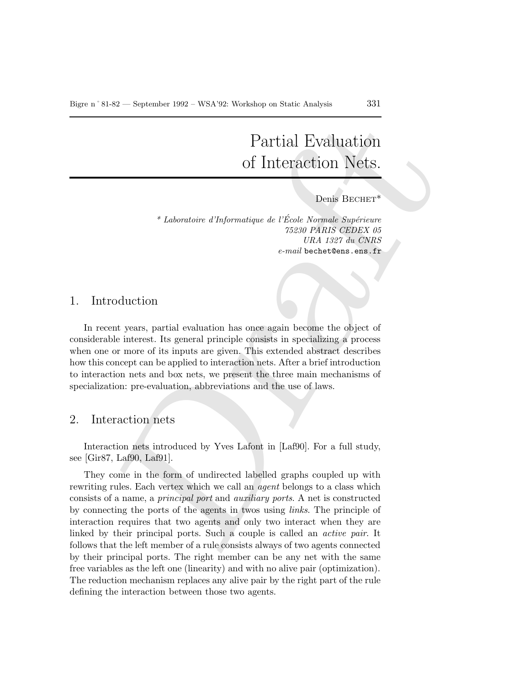# Partial Evaluation of Interaction Nets.

#### Denis BECHET\*

\* Laboratoire d'Informatique de l'École Normale Supérieure 75230 PARIS CEDEX 05 URA 1327 du CNRS e-mail bechet@ens.ens.fr

#### 1. Introduction

In recent years, partial evaluation has once again become the object of considerable interest. Its general principle consists in specializing a process when one or more of its inputs are given. This extended abstract describes how this concept can be applied to interaction nets. After a brief introduction to interaction nets and box nets, we present the three main mechanisms of specialization: pre-evaluation, abbreviations and the use of laws.

## 2. Interaction nets

Interaction nets introduced by Yves Lafont in [Laf90]. For a full study, see [Gir87, Laf90, Laf91].

Partial Evaluation<br>
of Interaction Nets.<br>
heats Borner and the process of the state of the state of the method of the state of the state of the state of the state of the state of the state of the state of the consideratio They come in the form of undirected labelled graphs coupled up with rewriting rules. Each vertex which we call an *agent* belongs to a class which consists of a name, a principal port and auxiliary ports. A net is constructed by connecting the ports of the agents in twos using links. The principle of interaction requires that two agents and only two interact when they are linked by their principal ports. Such a couple is called an active pair. It follows that the left member of a rule consists always of two agents connected by their principal ports. The right member can be any net with the same free variables as the left one (linearity) and with no alive pair (optimization). The reduction mechanism replaces any alive pair by the right part of the rule defining the interaction between those two agents.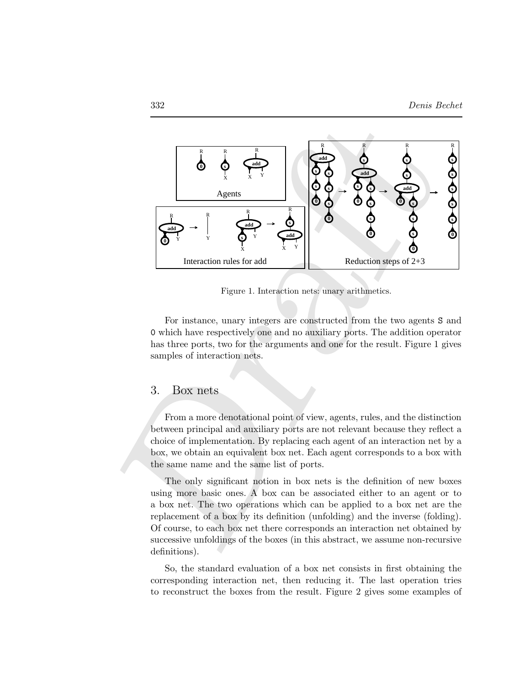

Figure 1. Interaction nets: unary arithmetics.

For instance, unary integers are constructed from the two agents S and 0 which have respectively one and no auxiliary ports. The addition operator has three ports, two for the arguments and one for the result. Figure 1 gives samples of interaction nets.

## 3. Box nets

From a more denotational point of view, agents, rules, and the distinction between principal and auxiliary ports are not relevant because they reflect a choice of implementation. By replacing each agent of an interaction net by a box, we obtain an equivalent box net. Each agent corresponds to a box with the same name and the same list of ports.

The only significant notion in box nets is the definition of new boxes using more basic ones. A box can be associated either to an agent or to a box net. The two operations which can be applied to a box net are the replacement of a box by its definition (unfolding) and the inverse (folding). Of course, to each box net there corresponds an interaction net obtained by successive unfoldings of the boxes (in this abstract, we assume non-recursive definitions).

So, the standard evaluation of a box net consists in first obtaining the corresponding interaction net, then reducing it. The last operation tries to reconstruct the boxes from the result. Figure 2 gives some examples of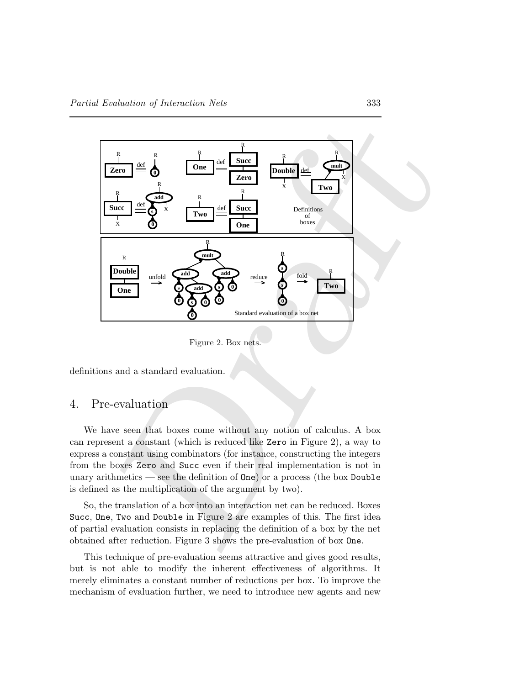

Figure 2. Box nets.

definitions and a standard evaluation.

## 4. Pre-evaluation

We have seen that boxes come without any notion of calculus. A box can represent a constant (which is reduced like Zero in Figure 2), a way to express a constant using combinators (for instance, constructing the integers from the boxes Zero and Succ even if their real implementation is not in unary arithmetics — see the definition of One) or a process (the box Double is defined as the multiplication of the argument by two).

So, the translation of a box into an interaction net can be reduced. Boxes Succ, One, Two and Double in Figure 2 are examples of this. The first idea of partial evaluation consists in replacing the definition of a box by the net obtained after reduction. Figure 3 shows the pre-evaluation of box One.

This technique of pre-evaluation seems attractive and gives good results, but is not able to modify the inherent effectiveness of algorithms. It merely eliminates a constant number of reductions per box. To improve the mechanism of evaluation further, we need to introduce new agents and new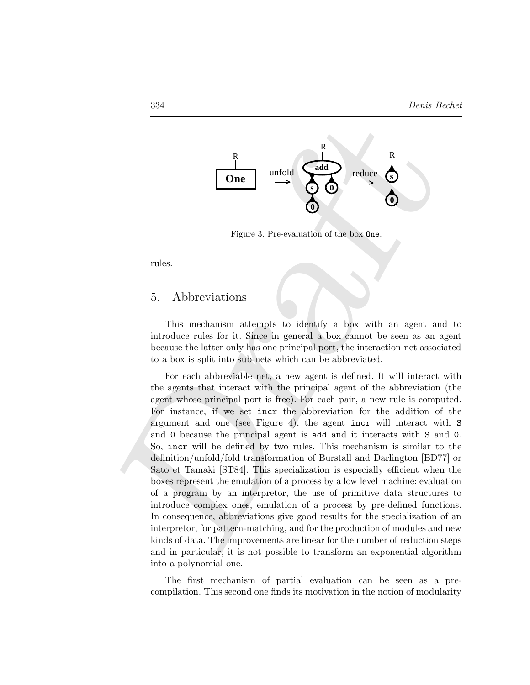

Figure 3. Pre-evaluation of the box One.

rules.

## 5. Abbreviations

This mechanism attempts to identify a box with an agent and to introduce rules for it. Since in general a box cannot be seen as an agent because the latter only has one principal port, the interaction net associated to a box is split into sub-nets which can be abbreviated.

Draft For each abbreviable net, a new agent is defined. It will interact with the agents that interact with the principal agent of the abbreviation (the agent whose principal port is free). For each pair, a new rule is computed. For instance, if we set incr the abbreviation for the addition of the argument and one (see Figure 4), the agent incr will interact with S and 0 because the principal agent is add and it interacts with S and 0. So, incr will be defined by two rules. This mechanism is similar to the definition/unfold/fold transformation of Burstall and Darlington [BD77] or Sato et Tamaki [ST84]. This specialization is especially efficient when the boxes represent the emulation of a process by a low level machine: evaluation of a program by an interpretor, the use of primitive data structures to introduce complex ones, emulation of a process by pre-defined functions. In consequence, abbreviations give good results for the specialization of an interpretor, for pattern-matching, and for the production of modules and new kinds of data. The improvements are linear for the number of reduction steps and in particular, it is not possible to transform an exponential algorithm into a polynomial one.

> The first mechanism of partial evaluation can be seen as a precompilation. This second one finds its motivation in the notion of modularity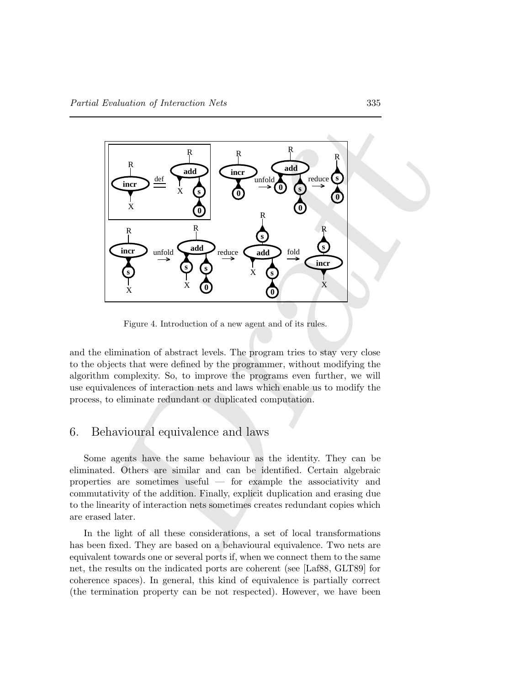

Figure 4. Introduction of a new agent and of its rules.

and the elimination of abstract levels. The program tries to stay very close to the objects that were defined by the programmer, without modifying the algorithm complexity. So, to improve the programs even further, we will use equivalences of interaction nets and laws which enable us to modify the process, to eliminate redundant or duplicated computation.

## 6. Behavioural equivalence and laws

Some agents have the same behaviour as the identity. They can be eliminated. Others are similar and can be identified. Certain algebraic properties are sometimes useful — for example the associativity and commutativity of the addition. Finally, explicit duplication and erasing due to the linearity of interaction nets sometimes creates redundant copies which are erased later.

In the light of all these considerations, a set of local transformations has been fixed. They are based on a behavioural equivalence. Two nets are equivalent towards one or several ports if, when we connect them to the same net, the results on the indicated ports are coherent (see [Laf88, GLT89] for coherence spaces). In general, this kind of equivalence is partially correct (the termination property can be not respected). However, we have been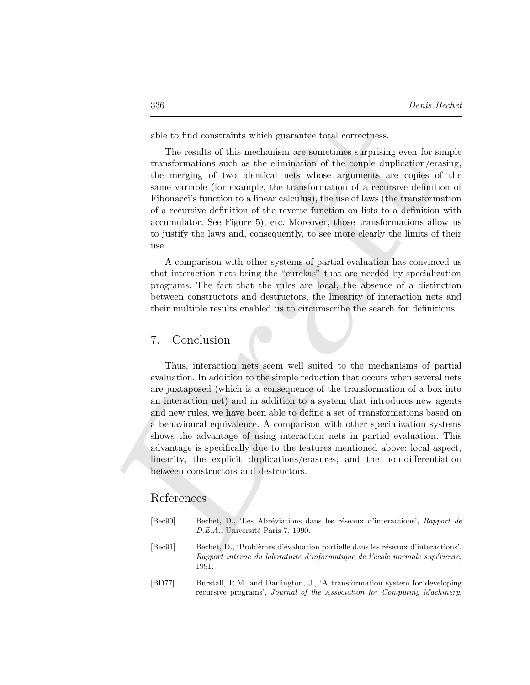able to find constraints which guarantee total correctness.

The results of this mechanism are sometimes surprising even for simple transformations such as the elimination of the couple duplication/erasing, the merging of two identical nets whose arguments are copies of the same variable (for example, the transformation of a recursive definition of Fibonacci's function to a linear calculus), the use of laws (the transformation of a recursive definition of the reverse function on lists to a definition with accumulator. See Figure 5), etc. Moreover, those transformations allow us to justify the laws and, consequently, to see more clearly the limits of their use.

A comparison with other systems of partial evaluation has convinced us that interaction nets bring the "eurekas" that are needed by specialization programs. The fact that the rules are local, the absence of a distinction between constructors and destructors, the linearity of interaction nets and their multiple results enabled us to circumscribe the search for definitions.

#### 7. Conclusion

able to find constraints which guarantee total correctness.<br>
The results of this mechanism are sometimes surprising even for situation<br>(results of this mechanism are sometimes surprising even for situation<br>(results the me Thus, interaction nets seem well suited to the mechanisms of partial evaluation. In addition to the simple reduction that occurs when several nets are juxtaposed (which is a consequence of the transformation of a box into an interaction net) and in addition to a system that introduces new agents and new rules, we have been able to define a set of transformations based on a behavioural equivalence. A comparison with other specialization systems shows the advantage of using interaction nets in partial evaluation. This advantage is specifically due to the features mentioned above: local aspect, linearity, the explicit duplications/erasures, and the non-differentiation between constructors and destructors.

## References

| [Bec90]                     | Bechet, D., 'Les Abréviations dans les réseaux d'interactions', Rapport de<br>D.E.A., Université Paris 7, 1990.                                                          |
|-----------------------------|--------------------------------------------------------------------------------------------------------------------------------------------------------------------------|
| $\left[\text{Bec91}\right]$ | Bechet, D., 'Problèmes d'évaluation partielle dans les réseaux d'interactions',<br>Rapport interne du laboratoire d'informatique de l'école normale supérieure,<br>1991. |
| [BD77]                      | Burstall, R.M. and Darlington, J., 'A transformation system for developing<br>recursive programs', Journal of the Association for Computing Machinery,                   |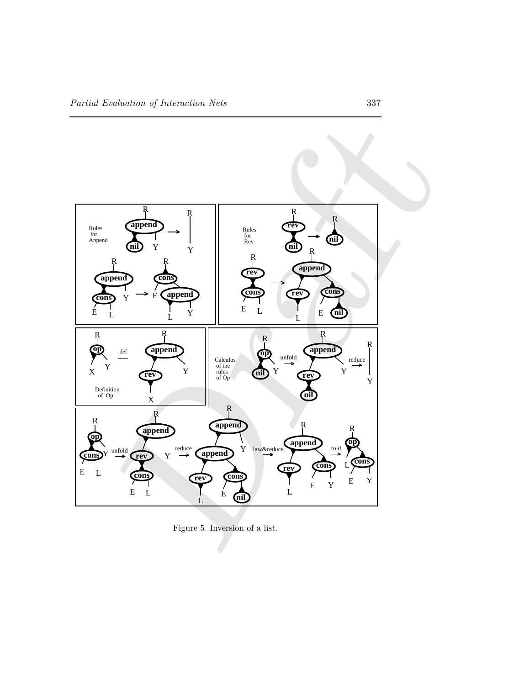

Figure 5. Inversion of a list.